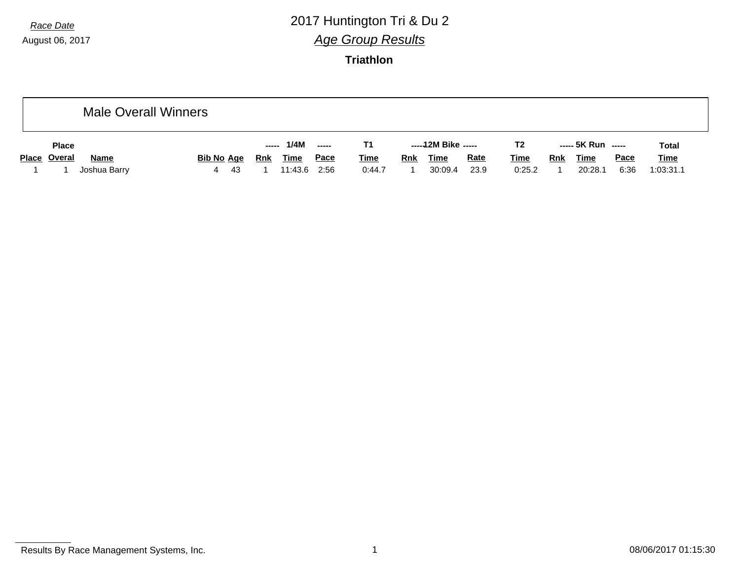# *Race Date* 2017 Huntington Tri & Du 2 *Age Group Results*

|              |              | <b>Male Overall Winners</b> |   |                   |       |             |       |             |            |                     |             |                |     |                    |             |              |
|--------------|--------------|-----------------------------|---|-------------------|-------|-------------|-------|-------------|------------|---------------------|-------------|----------------|-----|--------------------|-------------|--------------|
| <b>Place</b> |              |                             |   |                   | ----- | 1/4M        | $---$ | Τ1          |            | -----12M Bike ----- |             | T <sub>2</sub> |     | ----- 5K Run ----- |             | <b>Total</b> |
| Place Overal | <b>Name</b>  |                             |   | <u>Bib No Age</u> | Rnk   | <b>Time</b> | Pace  | <u>Time</u> | <b>Rnk</b> | <b>Time</b>         | <b>Rate</b> | <u>Time</u>    | Rnk | <u>Time</u>        | <b>Pace</b> | <b>Time</b>  |
|              | Joshua Barry |                             | 4 | -43               |       | 11:43.6     | 2:56  | 0:44.7      |            | 30:09.4             | 23.9        | 0:25.2         |     | 20:28.1            | 6:36        | 1:03:31.1    |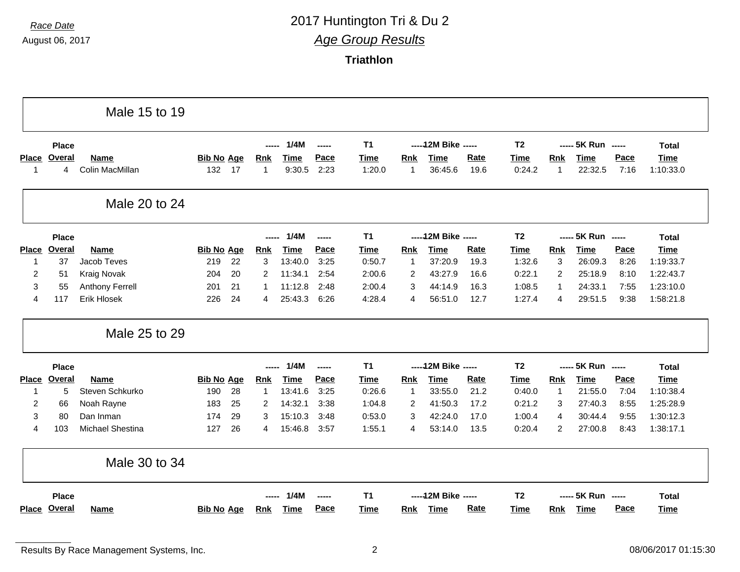|                |              | Male 15 to 19          |                   |    |             |             |               |                |                |                      |             |                |                |                    |      |              |
|----------------|--------------|------------------------|-------------------|----|-------------|-------------|---------------|----------------|----------------|----------------------|-------------|----------------|----------------|--------------------|------|--------------|
|                | <b>Place</b> |                        |                   |    | ------      | 1/4M        | ------        | T <sub>1</sub> |                | ----- 12M Bike ----- |             | T <sub>2</sub> |                | ----- 5K Run ----- |      | <b>Total</b> |
|                | Place Overal | <b>Name</b>            | <b>Bib No Age</b> |    | <b>Rnk</b>  | <b>Time</b> | Pace          | <b>Time</b>    | Rnk            | <b>Time</b>          | Rate        | Time           | <b>Rnk</b>     | <b>Time</b>        | Pace | <b>Time</b>  |
| -1             | 4            | Colin MacMillan        | 132               | 17 | $\mathbf 1$ | 9:30.5      | 2:23          | 1:20.0         | $\overline{1}$ | 36:45.6              | 19.6        | 0:24.2         | 1              | 22:32.5            | 7:16 | 1:10:33.0    |
|                |              | Male 20 to 24          |                   |    |             |             |               |                |                |                      |             |                |                |                    |      |              |
|                | <b>Place</b> |                        |                   |    | $---$       | 1/4M        | $\frac{1}{2}$ | T <sub>1</sub> |                | ----- 12M Bike ----- |             | T <sub>2</sub> |                | ----- 5K Run ----- |      | <b>Total</b> |
|                | Place Overal | <b>Name</b>            | <b>Bib No Age</b> |    | <b>Rnk</b>  | <b>Time</b> | Pace          | <b>Time</b>    | Rnk            | <b>Time</b>          | Rate        | <b>Time</b>    | Rnk            | <b>Time</b>        | Pace | <b>Time</b>  |
| -1             | 37           | Jacob Teves            | 219               | 22 | 3           | 13:40.0     | 3:25          | 0:50.7         | $\mathbf{1}$   | 37:20.9              | 19.3        | 1:32.6         | 3              | 26:09.3            | 8:26 | 1:19:33.7    |
| $\overline{2}$ | 51           | <b>Kraig Novak</b>     | 204               | 20 | 2           | 11:34.1     | 2:54          | 2:00.6         | 2              | 43:27.9              | 16.6        | 0:22.1         | $\overline{2}$ | 25:18.9            | 8:10 | 1:22:43.7    |
| 3              | 55           | <b>Anthony Ferrell</b> | 201               | 21 |             | 11:12.8     | 2:48          | 2:00.4         | 3              | 44:14.9              | 16.3        | 1:08.5         | $\mathbf{1}$   | 24:33.1            | 7:55 | 1:23:10.0    |
| 4              | 117          | Erik Hlosek            | 226               | 24 | 4           | 25:43.3     | 6:26          | 4:28.4         | 4              | 56:51.0              | 12.7        | 1:27.4         | 4              | 29:51.5            | 9:38 | 1:58:21.8    |
|                |              | Male 25 to 29          |                   |    |             |             |               |                |                |                      |             |                |                |                    |      |              |
|                | <b>Place</b> |                        |                   |    | $---$       | 1/4M        | $\frac{1}{2}$ | T <sub>1</sub> |                | ----- 12M Bike ----- |             | T <sub>2</sub> |                | ----- 5K Run ----- |      | <b>Total</b> |
| <b>Place</b>   | Overal       | <b>Name</b>            | <b>Bib No Age</b> |    | Rnk         | <b>Time</b> | Pace          | <b>Time</b>    | Rnk            | <b>Time</b>          | <b>Rate</b> | <b>Time</b>    | <b>Rnk</b>     | <b>Time</b>        | Pace | <b>Time</b>  |
| 1              | 5            | Steven Schkurko        | 190               | 28 | $\mathbf 1$ | 13:41.6     | 3:25          | 0:26.6         | $\overline{1}$ | 33:55.0              | 21.2        | 0:40.0         | $\mathbf{1}$   | 21:55.0            | 7:04 | 1:10:38.4    |
| 2              | 66           | Noah Rayne             | 183               | 25 | 2           | 14:32.1     | 3:38          | 1:04.8         | 2              | 41:50.3              | 17.2        | 0:21.2         | 3              | 27:40.3            | 8:55 | 1:25:28.9    |
| 3              | 80           | Dan Inman              | 174               | 29 | 3           | 15:10.3     | 3:48          | 0:53.0         | 3              | 42:24.0              | 17.0        | 1:00.4         | 4              | 30:44.4            | 9:55 | 1:30:12.3    |
| 4              | 103          | Michael Shestina       | 127               | 26 | 4           | 15:46.8     | 3:57          | 1:55.1         | 4              | 53:14.0              | 13.5        | 0:20.4         | $\overline{2}$ | 27:00.8            | 8:43 | 1:38:17.1    |
|                |              | Male 30 to 34          |                   |    |             |             |               |                |                |                      |             |                |                |                    |      |              |
|                |              |                        |                   |    |             |             |               |                |                |                      |             |                |                |                    |      |              |
|                | <b>Place</b> |                        |                   |    |             | 1/4M        | -----         | T <sub>1</sub> |                | ----- 12M Bike ----- |             | T <sub>2</sub> |                | ----- 5K Run ----- |      | <b>Total</b> |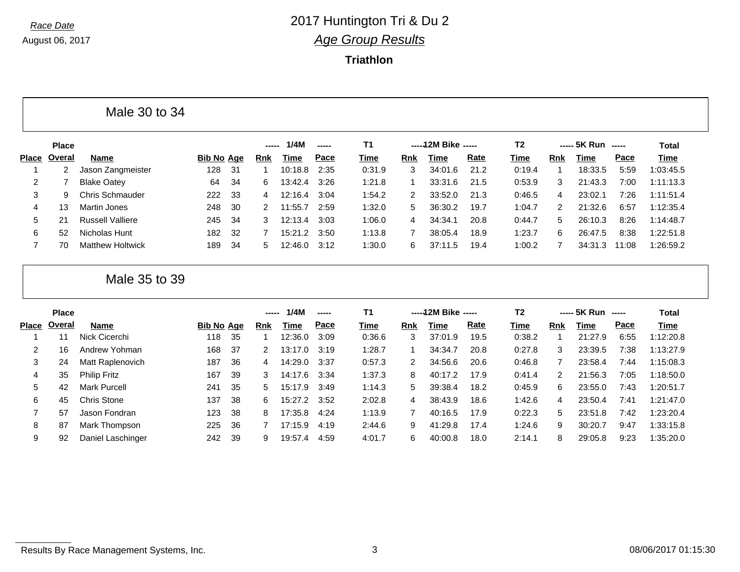**Triathlon**

|       |              | Male 30 to 34           |                   |     |                |         |               |        |            |                     |      |                |               |                    |       |           |
|-------|--------------|-------------------------|-------------------|-----|----------------|---------|---------------|--------|------------|---------------------|------|----------------|---------------|--------------------|-------|-----------|
|       | <b>Place</b> |                         |                   |     | ------         | 1/4M    | $\frac{1}{2}$ | T1     |            | -----12M Bike ----- |      | T <sub>2</sub> |               | ----- 5K Run ----- |       | Total     |
| Place | Overal       | Name                    | <b>Bib No Age</b> |     | <b>Rnk</b>     | Time    | Pace          | Time   | <b>Rnk</b> | Time                | Rate | Time           | <b>Rnk</b>    | Time               | Pace  | Time      |
|       |              | Jason Zangmeister       | 128               | -31 |                | 10:18.8 | 2:35          | 0:31.9 | 3          | 34:01.6             | 21.2 | 0:19.4         |               | 18:33.5            | 5:59  | 1:03:45.5 |
| 2     |              | <b>Blake Oatey</b>      | 64                | 34  | 6.             | 13:42.4 | 3:26          | 1:21.8 |            | 33:31.6             | 21.5 | 0:53.9         | 3             | 21:43.3            | 7:00  | 1:11:13.3 |
| 3     | 9            | Chris Schmauder         | 222               | -33 | $\overline{4}$ | 12:16.4 | 3:04          | 1:54.2 | 2          | 33:52.0             | 21.3 | 0:46.5         | 4             | 23:02.1            | 7:26  | 1:11:51.4 |
| 4     | 13           | Martin Jones            | 248               | 30  | $\mathcal{P}$  | 11:55.7 | 2:59          | 1:32.0 | 5.         | 36:30.2             | 19.7 | 1:04.7         | $\mathcal{P}$ | 21:32.6            | 6:57  | 1:12:35.4 |
| 5     | 21           | <b>Russell Valliere</b> | 245               | 34  | 3              | 12:13.4 | 3:03          | 1:06.0 | 4          | 34:34.1             | 20.8 | 0:44.7         | 5             | 26:10.3            | 8:26  | 1:14:48.7 |
| 6     | 52           | Nicholas Hunt           | 182               | -32 |                | 15:21.2 | 3:50          | 1:13.8 |            | 38:05.4             | 18.9 | 1:23.7         | 6.            | 26:47.5            | 8:38  | 1:22:51.8 |
|       | 70           | <b>Matthew Holtwick</b> | 189               | 34  | 5.             | 12:46.0 | 3:12          | 1:30.0 | 6.         | 37:11.5             | 19.4 | 1:00.2         |               | 34:31.3            | 11:08 | 1:26:59.2 |

Male 35 to 39

|       | <b>Place</b> |                     |                   |     | ----- | 1/4M    | $\frac{1}{2}$ | <b>T1</b> |            | -----12M Bike ----- |      | T2     |               | ----- 5K Run ----- |      | <b>Total</b> |
|-------|--------------|---------------------|-------------------|-----|-------|---------|---------------|-----------|------------|---------------------|------|--------|---------------|--------------------|------|--------------|
| Place | Overal       | Name                | <b>Bib No Age</b> |     | Rnk   | Time    | Pace          | Time      | <b>Rnk</b> | Time                | Rate | Time   | Rnk           | <b>Time</b>        | Pace | <b>Time</b>  |
|       |              | Nick Cicerchi       | 118               | 35  |       | 12:36.0 | 3:09          | 0:36.6    | 3          | 37:01.9             | 19.5 | 0:38.2 |               | 21:27.9            | 6:55 | 1:12:20.8    |
| 2     | 16           | Andrew Yohman       | 168               | -37 | 2     | 13:17.0 | 3:19          | 1:28.7    |            | 34:34.7             | 20.8 | 0:27.8 | 3             | 23:39.5            | 7:38 | 1:13:27.9    |
| 3     | 24           | Matt Raplenovich    | 187               | 36  | 4     | 14:29.0 | 3:37          | 0:57.3    |            | 34:56.6             | 20.6 | 0:46.8 |               | 23:58.4            | 7:44 | 1:15:08.3    |
| 4     | 35           | <b>Philip Fritz</b> | 167               | -39 | 3     | 14:17.6 | 3:34          | 1:37.3    | 8          | 40:17.2             | 17.9 | 0:41.4 | $\mathcal{P}$ | 21:56.3            | 7:05 | 1:18:50.0    |
| 5     | 42           | <b>Mark Purcell</b> | 241               | -35 | 5.    | 15:17.9 | 3:49          | 1:14.3    | 5          | 39:38.4             | 18.2 | 0:45.9 | 6             | 23:55.0            | 7:43 | 1:20:51.7    |
| 6     | 45           | Chris Stone         | 137               | 38  | 6.    | 15:27.2 | 3:52          | 2:02.8    | 4          | 38:43.9             | 18.6 | 1:42.6 | 4             | 23:50.4            | 7:41 | 1:21:47.0    |
|       | 57           | Jason Fondran       | 123               | 38  | 8     | 17:35.8 | 4:24          | 1:13.9    |            | 40:16.5             | 17.9 | 0:22.3 | 5.            | 23:51.8            | 7:42 | 1:23:20.4    |
| 8     | 87           | Mark Thompson       | 225               | 36  |       | 17:15.9 | 4:19          | 2:44.6    | 9          | 41:29.8             | 17.4 | 1:24.6 | 9             | 30:20.7            | 9:47 | 1:33:15.8    |
| 9     | 92           | Daniel Laschinger   | 242               | -39 | 9     | 19:57.4 | 4:59          | 4:01.7    | 6          | 40:00.8             | 18.0 | 2:14.1 | 8             | 29:05.8            | 9:23 | 1:35:20.0    |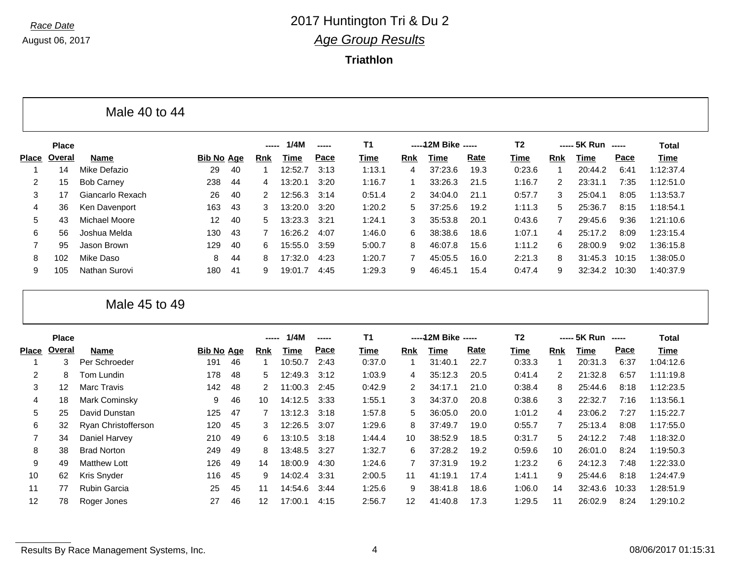**Triathlon**

|                |              | Male 40 to 44     |                   |     |                |         |               |        |               |                     |      |                |               |              |       |              |
|----------------|--------------|-------------------|-------------------|-----|----------------|---------|---------------|--------|---------------|---------------------|------|----------------|---------------|--------------|-------|--------------|
|                | <b>Place</b> |                   |                   |     | -----          | 1/4M    | $\frac{1}{2}$ | T1     |               | -----12M Bike ----- |      | T <sub>2</sub> |               | $--- 5K Run$ |       | <b>Total</b> |
| Place          | Overal       | Name              | <b>Bib No Age</b> |     | <b>Rnk</b>     | Time    | Pace          | Time   | Rnk           | Time                | Rate | Time           | Rnk           | Time         | Pace  | Time         |
|                | 14           | Mike Defazio      | 29                | 40  |                | 12:52.7 | 3:13          | 1:13.1 | 4             | 37:23.6             | 19.3 | 0:23.6         |               | 20:44.2      | 6:41  | 1:12:37.4    |
| 2              | 15           | <b>Bob Carney</b> | 238               | 44  | 4              | 13:20.1 | 3:20          | 1:16.7 |               | 33:26.3             | 21.5 | 1:16.7         | $\mathcal{P}$ | 23:31.1      | 7:35  | 1:12:51.0    |
| 3              | 17           | Giancarlo Rexach  | 26                | 40  | $\mathcal{P}$  | 12:56.3 | 3:14          | 0:51.4 | $\mathcal{P}$ | 34:04.0             | 21.1 | 0:57.7         | 3             | 25:04.1      | 8:05  | 1:13:53.7    |
| 4              | 36           | Ken Davenport     | 163               | 43  | 3              | 13:20.0 | 3:20          | 1:20.2 | 5.            | 37:25.6             | 19.2 | 1:11.3         | 5             | 25:36.7      | 8:15  | 1:18:54.1    |
| 5              | 43           | Michael Moore     | $12 \overline{ }$ | 40  | 5.             | 13:23.3 | 3:21          | 1:24.1 | 3             | 35:53.8             | 20.1 | 0:43.6         | 7             | 29:45.6      | 9:36  | 1:21:10.6    |
| 6              | 56           | Joshua Melda      | 130               | 43  | $\overline{7}$ | 16:26.2 | 4:07          | 1:46.0 | 6.            | 38:38.6             | 18.6 | 1:07.1         | 4             | 25:17.2      | 8:09  | 1:23:15.4    |
| $\overline{7}$ | 95           | Jason Brown       | 129               | 40  | 6.             | 15:55.0 | 3:59          | 5:00.7 | 8             | 46:07.8             | 15.6 | 1:11.2         | 6.            | 28:00.9      | 9:02  | 1:36:15.8    |
| 8              | 102          | Mike Daso         | 8                 | 44  | 8              | 17:32.0 | 4:23          | 1:20.7 |               | 45:05.5             | 16.0 | 2:21.3         | 8             | 31:45.3      | 10:15 | 1:38:05.0    |
| 9              | 105          | Nathan Surovi     | 180               | -41 | 9              | 19:01.7 | 4:45          | 1:29.3 | 9             | 46:45.1             | 15.4 | 0:47.4         | 9             | 32:34.2      | 10:30 | 1:40:37.9    |

Male 45 to 49

|       | <b>Place</b> |                     |                   |    | -----             | 1/4M    | ----- | T <sub>1</sub> |              | -----12M Bike ----- |      | T2     |                | ----- 5K Run ----- |       | Total     |
|-------|--------------|---------------------|-------------------|----|-------------------|---------|-------|----------------|--------------|---------------------|------|--------|----------------|--------------------|-------|-----------|
| Place | Overal       | Name                | <b>Bib No Age</b> |    | <b>Rnk</b>        | Time    | Pace  | Time           | <b>Rnk</b>   | Time                | Rate | Time   | <b>Rnk</b>     | Time               | Pace  | Time      |
|       | 3            | Per Schroeder       | 191               | 46 |                   | 10:50.7 | 2:43  | 0:37.0         |              | 31:40.1             | 22.7 | 0:33.3 |                | 20:31.3            | 6:37  | 1:04:12.6 |
| 2     | 8            | Tom Lundin          | 178               | 48 | 5                 | 12:49.3 | 3:12  | 1:03.9         | 4            | 35:12.3             | 20.5 | 0:41.4 | 2              | 21:32.8            | 6:57  | 1:11:19.8 |
| 3     | 12           | Marc Travis         | 142               | 48 | 2                 | 11:00.3 | 2:45  | 0:42.9         | $\mathbf{2}$ | 34:17.1             | 21.0 | 0:38.4 | 8              | 25:44.6            | 8:18  | 1:12:23.5 |
| 4     | 18           | Mark Cominsky       | 9                 | 46 | 10                | 14:12.5 | 3:33  | 1:55.1         | 3            | 34:37.0             | 20.8 | 0:38.6 | 3              | 22:32.7            | 7:16  | 1:13:56.1 |
| 5     | 25           | David Dunstan       | 125               | 47 |                   | 13:12.3 | 3:18  | 1:57.8         | 5.           | 36:05.0             | 20.0 | 1:01.2 | 4              | 23:06.2            | 7:27  | 1:15:22.7 |
| 6     | 32           | Ryan Christofferson | 120               | 45 | 3                 | 12:26.5 | 3:07  | 1:29.6         | 8.           | 37:49.7             | 19.0 | 0:55.7 | $\overline{7}$ | 25:13.4            | 8:08  | 1:17:55.0 |
| 7     | 34           | Daniel Harvey       | 210               | 49 | 6.                | 13:10.5 | 3:18  | 1:44.4         | 10           | 38:52.9             | 18.5 | 0:31.7 | 5.             | 24:12.2            | 7:48  | 1:18:32.0 |
| 8     | 38           | <b>Brad Norton</b>  | 249               | 49 | 8                 | 13:48.5 | 3:27  | 1:32.7         | 6.           | 37:28.2             | 19.2 | 0:59.6 | 10             | 26:01.0            | 8:24  | 1:19:50.3 |
| 9     | 49           | <b>Matthew Lott</b> | 126               | 49 | 14                | 18:00.9 | 4:30  | 1:24.6         |              | 37:31.9             | 19.2 | 1:23.2 | 6              | 24:12.3            | 7:48  | 1:22:33.0 |
| 10    | 62           | Kris Snyder         | 116               | 45 | 9                 | 14:02.4 | 3:31  | 2:00.5         | 11           | 41:19.1             | 17.4 | 1:41.1 | 9              | 25:44.6            | 8:18  | 1:24:47.9 |
| 11    | 77           | <b>Rubin Garcia</b> | 25                | 45 | 11                | 14:54.6 | 3:44  | 1:25.6         | 9            | 38:41.8             | 18.6 | 1:06.0 | 14             | 32:43.6            | 10:33 | 1:28:51.9 |
| 12    | 78           | Roger Jones         | 27                | 46 | $12 \overline{ }$ | 17:00.1 | 4:15  | 2:56.7         | 12           | 41:40.8             | 17.3 | 1:29.5 | 11             | 26:02.9            | 8:24  | 1:29:10.2 |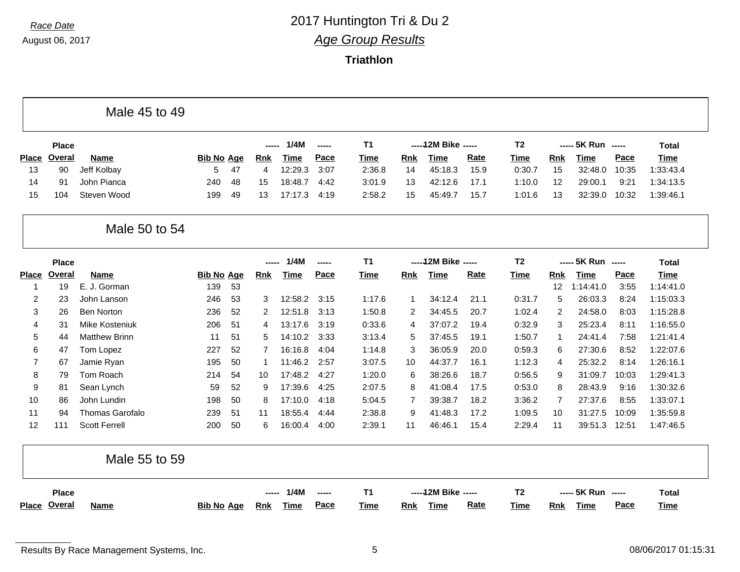|                | <b>Place</b>  |                           |                   |          | -----      | 1/4M               | -----        | T <sub>1</sub>   |                     | ----- 12M Bike ----- |              | T <sub>2</sub>   |                     | ----- 5K Run ----- |              | <b>Total</b>           |
|----------------|---------------|---------------------------|-------------------|----------|------------|--------------------|--------------|------------------|---------------------|----------------------|--------------|------------------|---------------------|--------------------|--------------|------------------------|
| <b>Place</b>   | <b>Overal</b> | Name                      | <b>Bib No Age</b> |          | <b>Rnk</b> | <b>Time</b>        | Pace         | <b>Time</b>      | <b>Rnk</b>          | <b>Time</b>          | Rate         | <b>Time</b>      | <b>Rnk</b>          | <b>Time</b>        | Pace         | <b>Time</b>            |
| 13             | 90            | Jeff Kolbay               | 5                 | 47       | 4          | 12:29.3            | 3:07         | 2:36.8           | 14                  | 45:18.3              | 15.9         | 0:30.7           | 15                  | 32:48.0            | 10:35        | 1:33:43.4              |
| 14             | 91            | John Pianca               | 240               | 48       | 15         | 18:48.7            | 4:42         | 3:01.9           | 13                  | 42:12.6              | 17.1         | 1:10.0           | 12                  | 29:00.1            | 9:21         | 1:34:13.5              |
| 15             | 104           | Steven Wood               | 199               | 49       | 13         | 17:17.3            | 4:19         | 2:58.2           | 15                  | 45:49.7              | 15.7         | 1:01.6           | 13                  | 32:39.0            | 10:32        | 1:39:46.1              |
|                |               | Male 50 to 54             |                   |          |            |                    |              |                  |                     |                      |              |                  |                     |                    |              |                        |
|                | <b>Place</b>  |                           |                   |          |            | 1/4M               | -----        | <b>T1</b>        |                     | ----- 12M Bike ----- |              | T <sub>2</sub>   |                     | ----- 5K Run ----- |              | <b>Total</b>           |
| <b>Place</b>   | Overal        | Name                      | <b>Bib No Age</b> |          | <b>Rnk</b> | <b>Time</b>        | Pace         | <b>Time</b>      | <b>Rnk</b>          | <b>Time</b>          | <b>Rate</b>  | <b>Time</b>      | <b>Rnk</b>          | <b>Time</b>        | Pace         | <b>Time</b>            |
| 1              | 19            | E. J. Gorman              | 139               | 53       |            |                    |              |                  |                     |                      |              |                  | 12                  | 1:14:41.0          | 3:55         | 1:14:41.0              |
| $\overline{c}$ | 23            | John Lanson               | 246               | 53       | 3          | 12:58.2            | 3:15         | 1:17.6           | 1                   | 34:12.4              | 21.1         | 0:31.7           | 5                   | 26:03.3            | 8:24         | 1:15:03.3              |
| 3              | 26            | <b>Ben Norton</b>         | 236               | 52       | 2          | 12:51.8            | 3:13         | 1:50.8           | 2                   | 34:45.5              | 20.7         | 1:02.4           | 2                   | 24:58.0            | 8:03         | 1:15:28.8              |
| 4              | 31            | Mike Kosteniuk            | 206               | 51       | 4          | 13:17.6            | 3:19         | 0:33.6           | 4                   | 37:07.2              | 19.4         | 0:32.9           | 3                   | 25:23.4            | 8:11         | 1:16:55.0              |
| 5              | 44            | <b>Matthew Brinn</b>      | 11                | 51       | 5          | 14:10.2            | 3:33         | 3:13.4           | 5                   | 37:45.5              | 19.1         | 1:50.7           | $\mathbf{1}$        | 24:41.4            | 7:58         | 1:21:41.4              |
| 6              | 47            | Tom Lopez                 | 227               | 52       | 7          | 16:16.8            | 4:04         | 1:14.8           | 3                   | 36:05.9              | 20.0         | 0:59.3           | 6                   | 27:30.6            | 8:52         | 1:22:07.6              |
| $\overline{7}$ | 67            | Jamie Ryan                | 195               | 50       | 1          | 11:46.2            | 2:57         | 3:07.5           | 10                  | 44:37.7              | 16.1         | 1:12.3           | 4                   | 25:32.2            | 8:14         | 1:26:16.1              |
| 8              | 79            | Tom Roach                 | 214               | 54       | 10         | 17:48.2<br>17:39.6 | 4:27         | 1:20.0           | 6                   | 38:26.6              | 18.7         | 0:56.5           | 9                   | 31:09.7            | 10:03        | 1:29:41.3              |
| 9<br>10        | 81<br>86      | Sean Lynch<br>John Lundin | 59<br>198         | 52<br>50 | 9<br>8     | 17:10.0            | 4:25<br>4:18 | 2:07.5<br>5:04.5 | 8<br>$\overline{7}$ | 41:08.4<br>39:38.7   | 17.5<br>18.2 | 0:53.0<br>3:36.2 | 8<br>$\overline{7}$ | 28:43.9<br>27:37.6 | 9:16<br>8:55 | 1:30:32.6<br>1:33:07.1 |
| 11             | 94            | Thomas Garofalo           | 239               | 51       | 11         | 18:55.4            | 4:44         | 2:38.8           | 9                   | 41:48.3              | 17.2         | 1:09.5           | 10                  | 31:27.5            | 10:09        | 1:35:59.8              |
| 12             | 111           | <b>Scott Ferrell</b>      | 200               | 50       | 6          | 16:00.4            | 4:00         | 2:39.1           | 11                  | 46:46.1              | 15.4         | 2:29.4           | 11                  | 39:51.3            | 12:51        | 1:47:46.5              |
|                |               |                           |                   |          |            |                    |              |                  |                     |                      |              |                  |                     |                    |              |                        |
|                |               | Male 55 to 59             |                   |          |            |                    |              |                  |                     |                      |              |                  |                     |                    |              |                        |
|                | <b>Place</b>  |                           |                   |          |            | 1/4M               | -----        | <b>T1</b>        |                     | ----- 12M Bike ----- |              | T <sub>2</sub>   |                     | ----- 5K Run ----- |              | <b>Total</b>           |
|                | Place Overal  | <b>Name</b>               | <b>Bib No Age</b> |          | Rnk        | Time               | Pace         | Time             | <b>Rnk</b>          | Time                 | Rate         | <b>Time</b>      | <b>Rnk</b>          | <b>Time</b>        | Pace         | Time                   |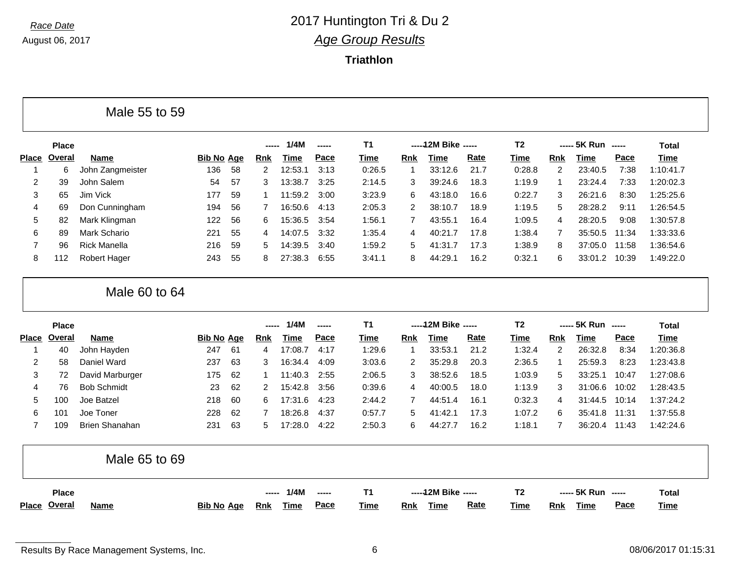Г

### *Race Date* 2017 Huntington Tri & Du 2 *Age Group Results*

**Triathlon**

|                | <b>Place</b>  |                       |                   |    | -----          | 1/4M        | -----  | T <sub>1</sub> |                | ----- 12M Bike ----- |      | T <sub>2</sub> |                | ----- 5K Run ----- |                                                        | Total        |
|----------------|---------------|-----------------------|-------------------|----|----------------|-------------|--------|----------------|----------------|----------------------|------|----------------|----------------|--------------------|--------------------------------------------------------|--------------|
| <b>Place</b>   | <b>Overal</b> | <b>Name</b>           | <b>Bib No Age</b> |    | <b>Rnk</b>     | <b>Time</b> | Pace   | <b>Time</b>    | <b>Rnk</b>     | <b>Time</b>          | Rate | <b>Time</b>    | <b>Rnk</b>     | <b>Time</b>        | Pace                                                   | <b>Time</b>  |
| 1              | 6             | John Zangmeister      | 136               | 58 | $\overline{2}$ | 12:53.1     | 3:13   | 0:26.5         | 1              | 33:12.6              | 21.7 | 0:28.8         | $\overline{2}$ | 23:40.5            | 7:38                                                   | 1:10:41.7    |
| 2              | 39            | John Salem            | 54                | 57 | 3              | 13:38.7     | 3:25   | 2:14.5         | 3              | 39:24.6              | 18.3 | 1:19.9         | $\mathbf{1}$   | 23:24.4            | 7:33                                                   | 1:20:02.3    |
| 3              | 65            | Jim Vick              | 177               | 59 | $\mathbf 1$    | 11:59.2     | 3:00   | 3:23.9         | 6              | 43:18.0              | 16.6 | 0:22.7         | 3              | 26:21.6            | 8:30                                                   | 1:25:25.6    |
| 4              | 69            | Don Cunningham        | 194               | 56 | 7              | 16:50.6     | 4:13   | 2:05.3         | 2              | 38:10.7              | 18.9 | 1:19.5         | 5              | 28:28.2            | 9:11                                                   | 1:26:54.5    |
| 5              | 82            | Mark Klingman         | 122               | 56 | 6              | 15:36.5     | 3:54   | 1:56.1         | $\overline{7}$ | 43:55.1              | 16.4 | 1:09.5         | 4              | 28:20.5            | 9:08                                                   | 1:30:57.8    |
| 6              | 89            | Mark Schario          | 221               | 55 | 4              | 14:07.5     | 3:32   | 1:35.4         | 4              | 40:21.7              | 17.8 | 1:38.4         | $\overline{7}$ | 35:50.5            | 11:34                                                  | 1:33:33.6    |
| $\overline{7}$ | 96            | <b>Rick Manella</b>   | 216               | 59 | 5              | 14:39.5     | 3:40   | 1:59.2         | 5              | 41:31.7              | 17.3 | 1:38.9         | 8              | 37:05.0            | 11:58                                                  | 1:36:54.6    |
| 8              | 112           | Robert Hager          | 243               | 55 | 8              | 27:38.3     | 6:55   | 3:41.1         | 8              | 44:29.1              | 16.2 | 0:32.1         | 6              | 33:01.2            | 10:39                                                  | 1:49:22.0    |
|                |               |                       |                   |    |                |             |        |                |                |                      |      |                |                |                    |                                                        |              |
|                | <b>Place</b>  | Male 60 to 64         |                   |    | -----          | 1/4M        | ------ | <b>T1</b>      |                | ----- 12M Bike ----- |      | T <sub>2</sub> |                | ----- 5K Run ----- |                                                        | <b>Total</b> |
|                | Overal        | <b>Name</b>           | <b>Bib No Age</b> |    | Rnk            | <b>Time</b> | Pace   | Time           | <b>Rnk</b>     | <b>Time</b>          | Rate | Time           | <b>Rnk</b>     | <b>Time</b>        | Pace                                                   | Time         |
|                | 40            | John Hayden           | 247               | 61 | 4              | 17:08.7     | 4:17   | 1:29.6         | 1              | 33:53.1              | 21.2 | 1:32.4         | 2              | 26:32.8            | 8:34                                                   | 1:20:36.8    |
| 2              | 58            | Daniel Ward           | 237               | 63 | 3              | 16:34.4     | 4:09   | 3:03.6         | 2              | 35:29.8              | 20.3 | 2:36.5         | $\mathbf{1}$   | 25:59.3            | 8:23                                                   | 1:23:43.8    |
| 3              | 72            | David Marburger       | 175               | 62 | 1              | 11:40.3     | 2:55   | 2:06.5         | 3              | 38:52.6              | 18.5 | 1:03.9         | 5              | 33:25.1            | 10:47                                                  | 1:27:08.6    |
| 4              | 76            | <b>Bob Schmidt</b>    | 23                | 62 | $\overline{2}$ | 15:42.8     | 3:56   | 0:39.6         | 4              | 40:00.5              | 18.0 | 1:13.9         | 3              | 31:06.6            | 10:02                                                  | 1:28:43.5    |
| 5              | 100           | Joe Batzel            | 218               | 60 | 6              | 17:31.6     | 4:23   | 2:44.2         | $\overline{7}$ | 44:51.4              | 16.1 | 0:32.3         | $\overline{4}$ | 31:44.5            | 10:14                                                  | 1:37:24.2    |
| 6              | 101           | Joe Toner             | 228               | 62 | 7              | 18:26.8     | 4:37   | 0:57.7         | 5              | 41:42.1              | 17.3 | 1:07.2         | 6              | 35:41.8            | 11:31                                                  | 1:37:55.8    |
| $\overline{7}$ | 109           | <b>Brien Shanahan</b> | 231               | 63 | 5              | 17:28.0     | 4:22   | 2:50.3         | 6              | 44:27.7              | 16.2 | 1:18.1         | $\overline{7}$ | 36:20.4            | 11:43                                                  | 1:42:24.6    |
|                |               | Male 65 to 69         |                   |    |                |             |        |                |                |                      |      |                |                |                    |                                                        |              |
| <b>Place</b>   | <b>Place</b>  |                       |                   |    |                | 1/4M        | -----  | <b>T1</b>      |                | -----12M Bike -----  |      | T <sub>2</sub> |                | ----- 5K Run       | $\begin{array}{ccc} \texttt{} & \texttt{} \end{array}$ | <b>Total</b> |

٦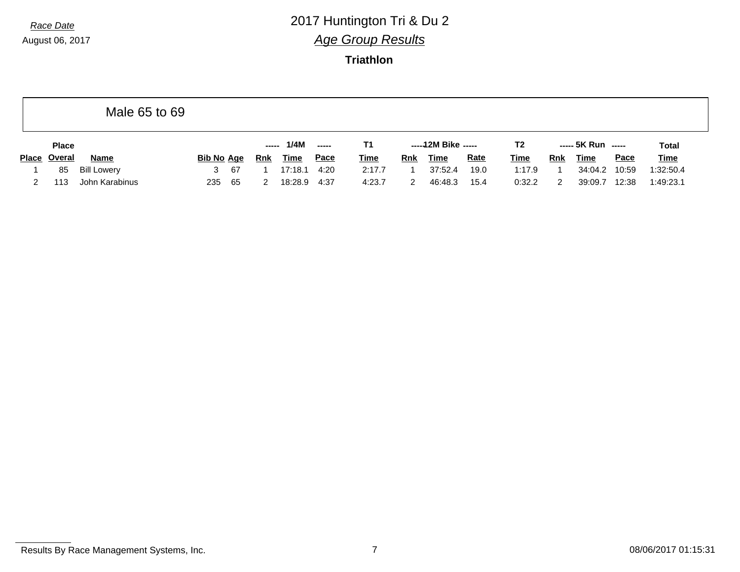### *Race Date* 2017 Huntington Tri & Du 2 *Age Group Results*

**Triathlon**

|              | Male 65 to 69      |                   |     |     |             |      |             |            |                     |             |                |            |                    |             |              |
|--------------|--------------------|-------------------|-----|-----|-------------|------|-------------|------------|---------------------|-------------|----------------|------------|--------------------|-------------|--------------|
| <b>Place</b> |                    |                   |     |     | 1/4M        |      | Τ1          |            | $---12M$ Bike $---$ |             | T <sub>2</sub> |            | ----- 5K Run ----- |             | <b>Total</b> |
| Place Overal | <b>Name</b>        | <b>Bib No Age</b> |     | Rnk | <b>Time</b> | Pace | <u>Time</u> | <b>Rnk</b> | <u>Time</u>         | <b>Rate</b> | <b>Time</b>    | <b>Rnk</b> | <u>Time</u>        | <b>Pace</b> | <b>Time</b>  |
| 85           | <b>Bill Lowery</b> | 3                 | -67 |     | 17:18.1     | 4:20 | 2:17.7      |            | 37:52.4             | 19.0        | 1:17.9         |            | 34:04.2            | 10:59       | 1:32:50.4    |
| 113          | John Karabinus     | 235               | 65  |     | 18:28.9     | 4:37 | 4:23.7      |            | 46:48.3             | 15.4        | 0:32.2         |            | 39:09.7            | 12:38       | 1:49:23.1    |

Results By Race Management Systems, Inc. 2008/06/2017 01:15:31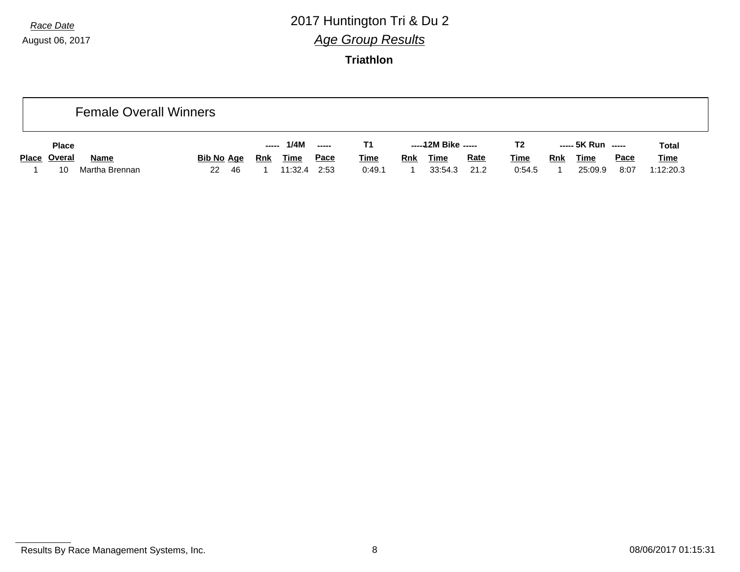# *Race Date* 2017 Huntington Tri & Du 2 *Age Group Results*

|              |                | <b>Female Overall Winners</b> |            |             |             |             |            |                     |             |                |            |                    |             |              |
|--------------|----------------|-------------------------------|------------|-------------|-------------|-------------|------------|---------------------|-------------|----------------|------------|--------------------|-------------|--------------|
| <b>Place</b> |                |                               | -----      | 1/4M        | $---$       |             |            | -----12M Bike ----- |             | T <sub>2</sub> |            | ----- 5K Run ----- |             | <b>Total</b> |
| Place Overal | <b>Name</b>    | <b>Bib No Age</b>             | <b>Rnk</b> | <u>Time</u> | <u>Pace</u> | <b>Time</b> | <b>Rnk</b> | <b>Time</b>         | <b>Rate</b> | <u>Time</u>    | <u>Rnk</u> | <b>Time</b>        | <u>Pace</u> | <u>Time</u>  |
| 10           | Martha Brennan | 22<br>-46                     |            | 11:32.4     | 2:53        | 0:49.1      |            | 33:54.3             | 21.2        | 0:54.5         |            | 25:09.9            | 8:07        | 1:12:20.3    |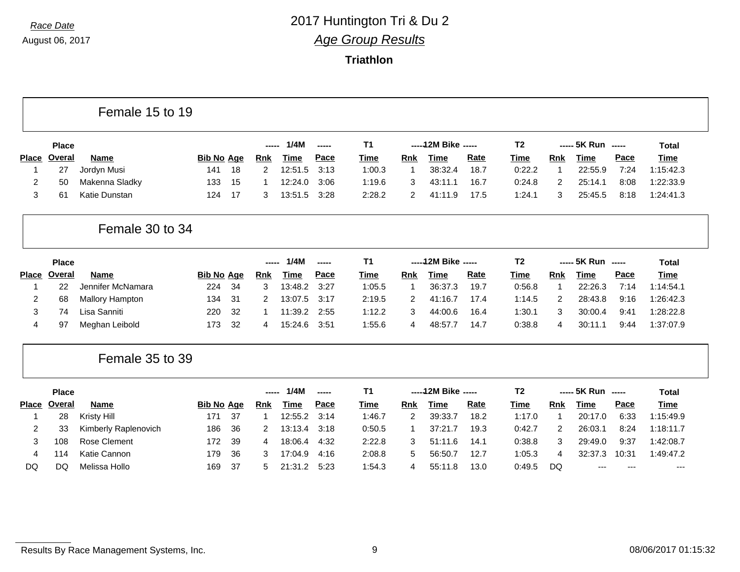|                |              | Female 15 to 19        |                   |    |                |             |               |                |                |                      |             |                |                |                    |       |              |
|----------------|--------------|------------------------|-------------------|----|----------------|-------------|---------------|----------------|----------------|----------------------|-------------|----------------|----------------|--------------------|-------|--------------|
|                | <b>Place</b> |                        |                   |    | -----          | 1/4M        | $\frac{1}{2}$ | <b>T1</b>      |                | ----- 12M Bike ----- |             | T <sub>2</sub> |                | ----- 5K Run ----- |       | <b>Total</b> |
| <b>Place</b>   | Overal       | Name                   | <b>Bib No Age</b> |    | <b>Rnk</b>     | <b>Time</b> | Pace          | <b>Time</b>    | <b>Rnk</b>     | <b>Time</b>          | Rate        | <b>Time</b>    | Rnk            | <b>Time</b>        | Pace  | <b>Time</b>  |
| 1              | 27           | Jordyn Musi            | 141               | 18 | 2              | 12:51.5     | 3:13          | 1:00.3         | $\mathbf{1}$   | 38:32.4              | 18.7        | 0:22.2         | 1              | 22:55.9            | 7:24  | 1:15:42.3    |
| 2              | 50           | Makenna Sladky         | 133               | 15 | 1              | 12:24.0     | 3:06          | 1:19.6         | 3              | 43:11.1              | 16.7        | 0:24.8         | $\overline{c}$ | 25:14.1            | 8:08  | 1:22:33.9    |
| 3              | 61           | Katie Dunstan          | 124               | 17 | 3              | 13:51.5     | 3:28          | 2:28.2         | 2              | 41:11.9              | 17.5        | 1:24.1         | 3              | 25:45.5            | 8:18  | 1:24:41.3    |
|                |              | Female 30 to 34        |                   |    |                |             |               |                |                |                      |             |                |                |                    |       |              |
|                | <b>Place</b> |                        |                   |    | -----          | 1/4M        | -----         | T <sub>1</sub> |                | ----- 12M Bike ----- |             | T <sub>2</sub> |                | ----- 5K Run ----- |       | <b>Total</b> |
| <b>Place</b>   | Overal       | <b>Name</b>            | <b>Bib No Age</b> |    | Rnk            | <b>Time</b> | Pace          | <b>Time</b>    | Rnk            | <b>Time</b>          | <b>Rate</b> | Time           | Rnk            | <b>Time</b>        | Pace  | <b>Time</b>  |
|                | 22           | Jennifer McNamara      | 224               | 34 | 3              | 13:48.2     | 3:27          | 1:05.5         | $\overline{1}$ | 36:37.3              | 19.7        | 0:56.8         | 1              | 22:26.3            | 7:14  | 1:14:54.1    |
| 2              | 68           | <b>Mallory Hampton</b> | 134               | 31 | 2              | 13:07.5     | 3:17          | 2:19.5         | 2              | 41:16.7              | 17.4        | 1:14.5         | 2              | 28:43.8            | 9:16  | 1:26:42.3    |
| 3              | 74           | Lisa Sanniti           | 220               | 32 | 1              | 11:39.2     | 2:55          | 1:12.2         | 3              | 44:00.6              | 16.4        | 1:30.1         | 3              | 30:00.4            | 9:41  | 1:28:22.8    |
| 4              | 97           | Meghan Leibold         | 173               | 32 | 4              | 15:24.6     | 3:51          | 1:55.6         | 4              | 48:57.7              | 14.7        | 0:38.8         | 4              | 30:11.1            | 9:44  | 1:37:07.9    |
|                |              | Female 35 to 39        |                   |    |                |             |               |                |                |                      |             |                |                |                    |       |              |
|                | <b>Place</b> |                        |                   |    | -----          | 1/4M        | -----         | <b>T1</b>      |                | ----- 12M Bike ----- |             | T <sub>2</sub> |                | ----- 5K Run ----- |       | Total        |
| <b>Place</b>   | Overal       | <b>Name</b>            | <b>Bib No Age</b> |    | Rnk            | <b>Time</b> | Pace          | Time           | <b>Rnk</b>     | <b>Time</b>          | <b>Rate</b> | Time           | Rnk            | <b>Time</b>        | Pace  | <b>Time</b>  |
| 1              | 28           | Kristy Hill            | 171               | 37 | -1             | 12:55.2     | 3:14          | 1:46.7         | 2              | 39:33.7              | 18.2        | 1:17.0         | 1              | 20:17.0            | 6:33  | 1:15:49.9    |
| $\overline{2}$ | 33           | Kimberly Raplenovich   | 186               | 36 | $\overline{2}$ | 13:13.4     | 3:18          | 0:50.5         | $\mathbf 1$    | 37:21.7              | 19.3        | 0:42.7         | 2              | 26:03.1            | 8:24  | 1:18:11.7    |
| 3              | 108          | Rose Clement           | 172               | 39 | 4              | 18:06.4     | 4:32          | 2:22.8         | 3              | 51:11.6              | 14.1        | 0:38.8         | 3              | 29:49.0            | 9:37  | 1:42:08.7    |
| 4              | 114          | Katie Cannon           | 179               | 36 | 3              | 17:04.9     | 4:16          | 2:08.8         | 5              | 56:50.7              | 12.7        | 1:05.3         | 4              | 32:37.3            | 10:31 | 1:49:47.2    |
| DQ             | DQ           | Melissa Hollo          | 169               | 37 | 5              | 21:31.2     | 5:23          | 1:54.3         | 4              | 55:11.8              | 13.0        | 0:49.5         | DQ             | $---$              | $---$ | $---$        |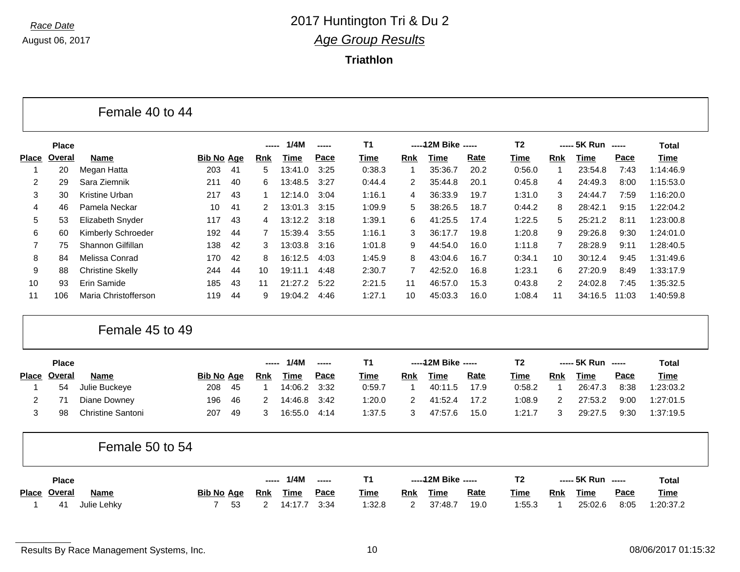г

### *Race Date* 2017 Huntington Tri & Du 2 *Age Group Results*

**Triathlon**

|              | <b>Place</b> |                         |                   |    | -----      | 1/4M        | ----- | T <sub>1</sub> |                | ----- 12M Bike ----- |      | T <sub>2</sub> |             | ----- 5K Run ----- |       | <b>Total</b> |
|--------------|--------------|-------------------------|-------------------|----|------------|-------------|-------|----------------|----------------|----------------------|------|----------------|-------------|--------------------|-------|--------------|
| <b>Place</b> | Overal       | <b>Name</b>             | <b>Bib No Age</b> |    | <b>Rnk</b> | <b>Time</b> | Pace  | Time           | <b>Rnk</b>     | <b>Time</b>          | Rate | <b>Time</b>    | <b>Rnk</b>  | <b>Time</b>        | Pace  | <b>Time</b>  |
|              | 20           | Megan Hatta             | 203               | 41 | 5          | 13:41.0     | 3:25  | 0:38.3         | 1              | 35:36.7              | 20.2 | 0:56.0         | $\mathbf 1$ | 23:54.8            | 7:43  | 1:14:46.9    |
| 2            | 29           | Sara Ziemnik            | 211               | 40 | 6          | 13:48.5     | 3:27  | 0:44.4         | $\overline{2}$ | 35:44.8              | 20.1 | 0:45.8         | 4           | 24:49.3            | 8:00  | 1:15:53.0    |
| 3            | 30           | Kristine Urban          | 217               | 43 | -1         | 12:14.0     | 3:04  | 1:16.1         | 4              | 36:33.9              | 19.7 | 1:31.0         | 3           | 24:44.7            | 7:59  | 1:16:20.0    |
| 4            | 46           | Pamela Neckar           | 10                | 41 | 2          | 13:01.3     | 3:15  | 1:09.9         | 5              | 38:26.5              | 18.7 | 0:44.2         | 8           | 28:42.1            | 9:15  | 1:22:04.2    |
| 5            | 53           | Elizabeth Snyder        | 117               | 43 | 4          | 13:12.2     | 3:18  | 1:39.1         | 6              | 41:25.5              | 17.4 | 1:22.5         | 5           | 25:21.2            | 8:11  | 1:23:00.8    |
| 6            | 60           | Kimberly Schroeder      | 192               | 44 | 7          | 15:39.4     | 3:55  | 1:16.1         | 3              | 36:17.7              | 19.8 | 1:20.8         | 9           | 29:26.8            | 9:30  | 1:24:01.0    |
| 7            | 75           | Shannon Gilfillan       | 138               | 42 | 3          | 13:03.8     | 3:16  | 1:01.8         | 9              | 44:54.0              | 16.0 | 1:11.8         | 7           | 28:28.9            | 9:11  | 1:28:40.5    |
| 8            | 84           | Melissa Conrad          | 170               | 42 | 8          | 16:12.5     | 4:03  | 1:45.9         | 8              | 43:04.6              | 16.7 | 0:34.1         | 10          | 30:12.4            | 9:45  | 1:31:49.6    |
| 9            | 88           | <b>Christine Skelly</b> | 244               | 44 | 10         | 19:11.1     | 4:48  | 2:30.7         | 7              | 42:52.0              | 16.8 | 1:23.1         | 6           | 27:20.9            | 8:49  | 1:33:17.9    |
| 10           | 93           | Erin Samide             | 185               | 43 | 11         | 21:27.2     | 5:22  | 2:21.5         | 11             | 46:57.0              | 15.3 | 0:43.8         | 2           | 24:02.8            | 7:45  | 1:35:32.5    |
| 11           | 106          | Maria Christofferson    | 119               | 44 | 9          | 19:04.2     | 4:46  | 1:27.1         | 10             | 45:03.3              | 16.0 | 1:08.4         | 11          | 34:16.5            | 11:03 | 1:40:59.8    |
|              |              | Female 45 to 49         |                   |    |            |             |       |                |                |                      |      |                |             |                    |       |              |
|              | <b>Place</b> |                         |                   |    | ------     | 1/4M        | ----- | T <sub>1</sub> |                | ----- 12M Bike ----- |      | T <sub>2</sub> |             | ----- 5K Run ----- |       | <b>Total</b> |
| <b>Place</b> | Overal       | Name                    | <b>Bib No Age</b> |    | <b>Rnk</b> | <b>Time</b> | Pace  | <b>Time</b>    | <b>Rnk</b>     | <b>Time</b>          | Rate | <b>Time</b>    | Rnk         | <b>Time</b>        | Pace  | <b>Time</b>  |
|              | 54           | Julie Buckeye           | 208               | 45 | 1          | 14:06.2     | 3:32  | 0:59.7         | 1              | 40:11.5              | 17.9 | 0:58.2         | $\mathbf 1$ | 26:47.3            | 8:38  | 1:23:03.2    |
| 2            | 71           | Diane Downey            | 196               | 46 | 2          | 14:46.8     | 3:42  | 1:20.0         | $\overline{2}$ | 41:52.4              | 17.2 | 1:08.9         | 2           | 27:53.2            | 9:00  | 1:27:01.5    |
| 3            | 98           | Christine Santoni       | 207               | 49 | 3          | 16:55.0     | 4:14  | 1:37.5         | 3              | 47:57.6              | 15.0 | 1:21.7         | 3           | 29:27.5            | 9:30  | 1:37:19.5    |

| <b>Place</b> |             |  |                   | ------ | 1/4M        | $\frac{1}{2}$ |             |            | $---12M$ Bike $---$ |             |        |            | ----- 5K Run ----- |             | Total       |
|--------------|-------------|--|-------------------|--------|-------------|---------------|-------------|------------|---------------------|-------------|--------|------------|--------------------|-------------|-------------|
| Place Overal | <b>Name</b> |  | <b>Bib No Age</b> | Rnk    | <b>Time</b> | <u>Pace</u>   | <b>Time</b> | <b>Rnk</b> | Time                | <u>Rate</u> | Time   | <b>Rnk</b> | <b>Time</b>        | <u>Pace</u> | <b>Time</b> |
| 41           | Julie Lehky |  | 53                |        | 14:17.7     | - 3:34        | 1:32.8      |            | 37:48.7             | 19.0        | 1:55.3 |            | 25:02.6            | 8:05        | 1:20:37.2   |

Results By Race Management Systems, Inc. 10 and the state of the state of the state of the Management Systems, Inc.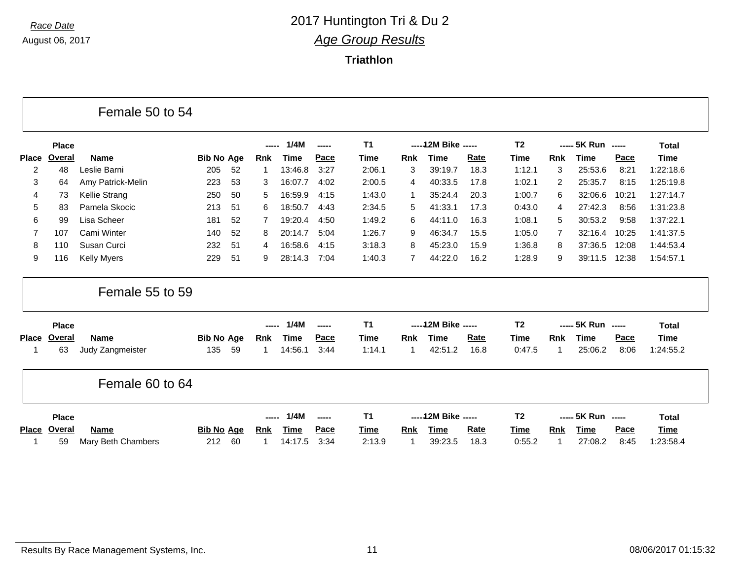г

### *Race Date* 2017 Huntington Tri & Du 2 *Age Group Results*

**Triathlon**

|                |              | Female 50 to 54    |                   |            |             |        |                |            |                      |             |                |                |                    |       |              |
|----------------|--------------|--------------------|-------------------|------------|-------------|--------|----------------|------------|----------------------|-------------|----------------|----------------|--------------------|-------|--------------|
|                | <b>Place</b> |                    |                   | -----      | 1/4M        | ------ | <b>T1</b>      |            | ----- 12M Bike ----- |             | T <sub>2</sub> |                | ----- 5K Run ----- |       | <b>Total</b> |
| <b>Place</b>   | Overal       | <b>Name</b>        | <b>Bib No Age</b> | <b>Rnk</b> | <b>Time</b> | Pace   | <b>Time</b>    | <b>Rnk</b> | <b>Time</b>          | <b>Rate</b> | <b>Time</b>    | <b>Rnk</b>     | <b>Time</b>        | Pace  | <b>Time</b>  |
| $\overline{2}$ | 48           | Leslie Barni       | 52<br>205         | -1         | 13:46.8     | 3:27   | 2:06.1         | 3          | 39:19.7              | 18.3        | 1:12.1         | 3              | 25:53.6            | 8:21  | 1:22:18.6    |
| 3              | 64           | Amy Patrick-Melin  | 53<br>223         | 3          | 16:07.7     | 4:02   | 2:00.5         | 4          | 40:33.5              | 17.8        | 1:02.1         | $\overline{2}$ | 25:35.7            | 8:15  | 1:25:19.8    |
| 4              | 73           | Kellie Strang      | 50<br>250         | 5          | 16:59.9     | 4:15   | 1:43.0         | -1         | 35:24.4              | 20.3        | 1:00.7         | 6              | 32:06.6            | 10:21 | 1:27:14.7    |
| 5              | 83           | Pamela Skocic      | 213<br>51         | 6          | 18:50.7     | 4:43   | 2:34.5         | 5          | 41:33.1              | 17.3        | 0:43.0         | 4              | 27:42.3            | 8:56  | 1:31:23.8    |
| 6              | 99           | Lisa Scheer        | 181<br>52         |            | 19:20.4     | 4:50   | 1:49.2         | 6          | 44:11.0              | 16.3        | 1:08.1         | 5              | 30:53.2            | 9:58  | 1:37:22.1    |
| 7              | 107          | Cami Winter        | 52<br>140         | 8          | 20:14.7     | 5:04   | 1:26.7         | 9          | 46:34.7              | 15.5        | 1:05.0         | 7              | 32:16.4            | 10:25 | 1:41:37.5    |
| 8              | 110          | Susan Curci        | 232<br>51         | 4          | 16:58.6     | 4:15   | 3:18.3         | 8          | 45:23.0              | 15.9        | 1:36.8         | 8              | 37:36.5            | 12:08 | 1:44:53.4    |
| 9              | 116          | <b>Kelly Myers</b> | 229<br>51         | 9          | 28:14.3     | 7:04   | 1:40.3         | 7          | 44:22.0              | 16.2        | 1:28.9         | 9              | 39:11.5            | 12:38 | 1:54:57.1    |
|                |              | Female 55 to 59    |                   |            |             |        |                |            |                      |             |                |                |                    |       |              |
|                | <b>Place</b> |                    |                   |            | 1/4M        | ------ | <b>T1</b>      |            | ----- 12M Bike ----- |             | T <sub>2</sub> |                | ----- 5K Run ----- |       | <b>Total</b> |
| <b>Place</b>   | Overal       | Name               | <b>Bib No Age</b> | <b>Rnk</b> | <b>Time</b> | Pace   | <b>Time</b>    | Rnk        | <b>Time</b>          | <b>Rate</b> | Time           | Rnk            | <b>Time</b>        | Pace  | Time         |
| 1              | 63           | Judy Zangmeister   | 135<br>59         | 1          | 14:56.1     | 3:44   | 1:14.1         | -1         | 42:51.2              | 16.8        | 0:47.5         | 1              | 25:06.2            | 8:06  | 1:24:55.2    |
|                |              | Female 60 to 64    |                   |            |             |        |                |            |                      |             |                |                |                    |       |              |
|                | <b>Place</b> |                    |                   | -----      | 1/4M        |        | T <sub>1</sub> |            | ----- 12M Bike ----- |             | T <sub>2</sub> |                | ----- 5K Run ----- |       | <b>Total</b> |
| <b>Place</b>   | Overal       | <b>Name</b>        | <b>Bib No Age</b> | <b>Rnk</b> | <b>Time</b> | Pace   | Time           | Rnk        | <b>Time</b>          | Rate        | <b>Time</b>    | <b>Rnk</b>     | <b>Time</b>        | Pace  | Time         |
|                | 59           | Mary Beth Chambers | 212<br>60         | 1          | 14:17.5     | 3:34   | 2:13.9         | -1         | 39:23.5              | 18.3        | 0:55.2         | -1             | 27:08.2            | 8:45  | 1:23:58.4    |

Results By Race Management Systems, Inc. 11 2008/06/2017 01:15:32

┑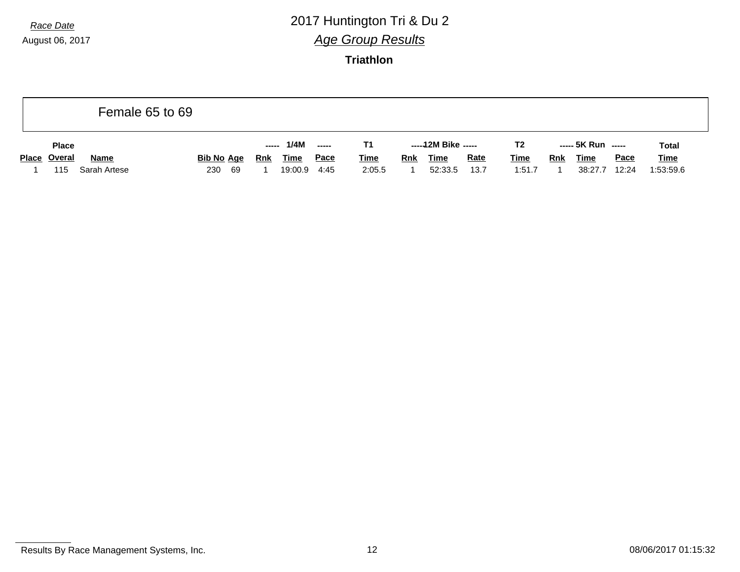## *Race Date* 2017 Huntington Tri & Du 2 *Age Group Results*

|                     |              | Female 65 to 69   |      |            |             |                       |             |            |                     |             |                |     |                    |             |              |
|---------------------|--------------|-------------------|------|------------|-------------|-----------------------|-------------|------------|---------------------|-------------|----------------|-----|--------------------|-------------|--------------|
| <b>Place</b>        |              |                   |      | -----      | 1/4M        | $\sim$ - - - - $\sim$ | Τ1          |            | -----12M Bike ----- |             | T <sub>2</sub> |     | ----- 5K Run ----- |             | <b>Total</b> |
| <b>Place Overal</b> | <b>Name</b>  | <u>Bib No Age</u> |      | <b>Rnk</b> | <b>Time</b> | <u>Pace</u>           | <u>Time</u> | <b>Rnk</b> | <b>Time</b>         | <b>Rate</b> | <b>Time</b>    | Rnk | <b>Time</b>        | <u>Pace</u> | <b>Time</b>  |
| 115                 | Sarah Artese | 230               | - 69 |            | 19:00.9     | 4:45                  | 2:05.5      |            | 52:33.5             | 13.7        | 1:51.7         |     | 38:27.7            | 12:24       | 1:53:59.6    |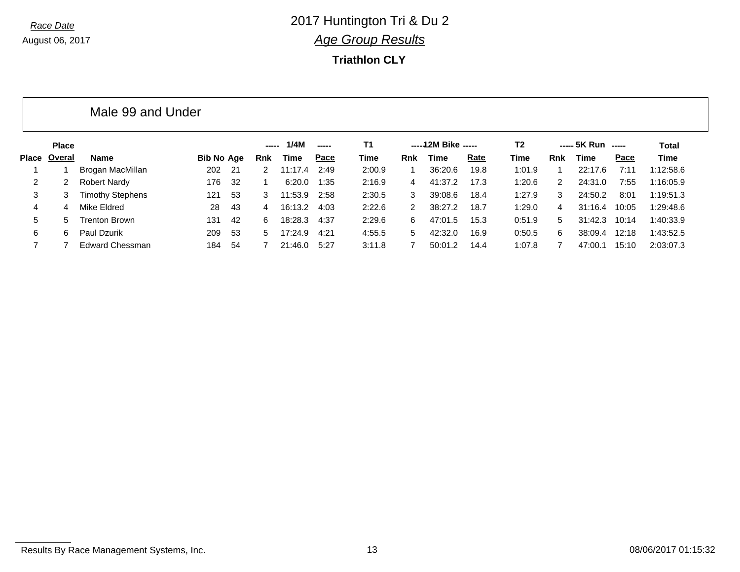#### **Triathlon CLY**

|       |              | Male 99 and Under       |            |     |       |         |       |           |                |                     |      |                |     |              |                          |           |
|-------|--------------|-------------------------|------------|-----|-------|---------|-------|-----------|----------------|---------------------|------|----------------|-----|--------------|--------------------------|-----------|
|       | <b>Place</b> |                         |            |     | ----- | 1/4M    | ----- | <b>T1</b> |                | -----12M Bike ----- |      | T <sub>2</sub> |     | ----- 5K Run | $\overline{\phantom{a}}$ | Total     |
| Place | Overal       | Name                    | Bib No Age |     | Rnk   | Time    | Pace  | Time      | Rnk            | Time                | Rate | Time           | Rnk | Time         | Pace                     | Time      |
|       |              | Brogan MacMillan        | 202        | -21 | 2.    | 11:17.4 | 2:49  | 2:00.9    |                | 36:20.6             | 19.8 | 1:01.9         |     | 22:17.6      | 7:11                     | 1:12:58.6 |
| 2     |              | <b>Robert Nardy</b>     | 176        | -32 |       | 6:20.0  | 1:35  | 2:16.9    | 4              | 41:37.2             | 17.3 | 1:20.6         | 2   | 24:31.0      | 7:55                     | 1:16:05.9 |
| 3     |              | <b>Timothy Stephens</b> | 121        | -53 | 3     | 11:53.9 | 2:58  | 2:30.5    | 3              | 39:08.6             | 18.4 | 1:27.9         | 3   | 24:50.2      | 8:01                     | 1:19:51.3 |
| 4     | 4            | Mike Eldred             | 28         | -43 | 4     | 16:13.2 | 4:03  | 2:22.6    | $\overline{2}$ | 38:27.2             | 18.7 | 1:29.0         | 4   | 31:16.4      | 10:05                    | 1:29:48.6 |
| 5     | 5.           | <b>Trenton Brown</b>    | 131        | 42  | 6     | 18:28.3 | 4:37  | 2:29.6    | 6              | 47:01.5             | 15.3 | 0:51.9         | 5   | 31:42.3      | 10:14                    | 1:40:33.9 |
| 6     | 6            | Paul Dzurik             | 209        | 53  | 5.    | 17:24.9 | 4:21  | 4:55.5    | 5              | 42:32.0             | 16.9 | 0:50.5         | 6   | 38:09.4      | 12:18                    | 1:43:52.5 |
|       |              | <b>Edward Chessman</b>  | 184        | -54 |       | 21:46.0 | 5:27  | 3:11.8    |                | 50:01.2             | 14.4 | 1:07.8         |     | 47:00.1      | 15:10                    | 2:03:07.3 |

Results By Race Management Systems, Inc. 13 13 Contract 13 08/06/2017 01:15:32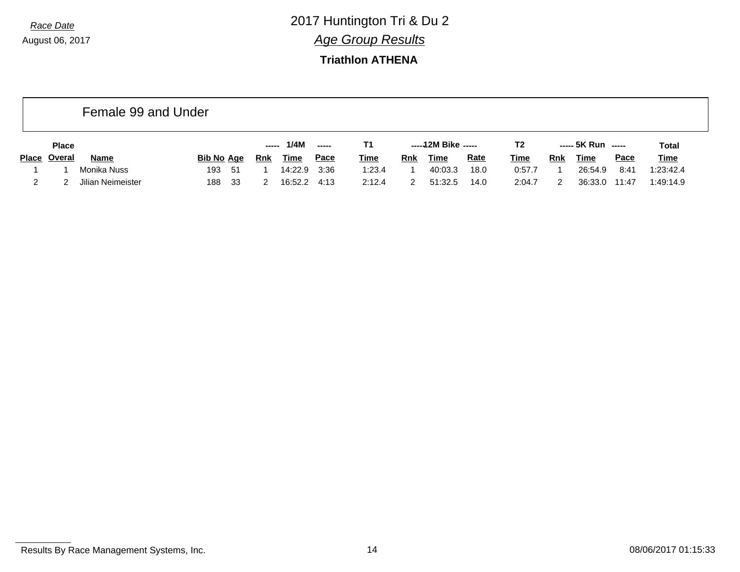#### **Triathlon ATHENA**

|       |              | Female 99 and Under |                   |            |             |             |             |            |                     |             |             |     |                    |             |              |
|-------|--------------|---------------------|-------------------|------------|-------------|-------------|-------------|------------|---------------------|-------------|-------------|-----|--------------------|-------------|--------------|
|       | <b>Place</b> |                     |                   | -----      | 1/4M        | ------      | Τ1          |            | -----12M Bike ----- |             | T2          |     | ----- 5K Run ----- |             | <b>Total</b> |
| Place | Overal       | <b>Name</b>         | <b>Bib No Age</b> | <u>Rnk</u> | <u>Time</u> | <u>Pace</u> | <u>Time</u> | <u>Rnk</u> | <u>Time</u>         | <u>Rate</u> | <b>Time</b> | Rnk | <b>Time</b>        | <b>Pace</b> | <b>Time</b>  |
|       |              | Monika Nuss         | -51<br>193        |            | 14:22.9     | 3:36        | 1:23.4      |            | 40:03.3             | 18.0        | 0:57.7      |     | 26:54.9            | 8:41        | 1:23:42.4    |
|       |              | Jilian Neimeister   | -33<br>188        |            | 16:52.2     | 4:13        | 2:12.4      |            | 51:32.5             | 14.0        | 2:04.7      |     | 36:33.0            | 11:47       | 1:49:14.9    |

Results By Race Management Systems, Inc. 14 08/06/2017 01:15:33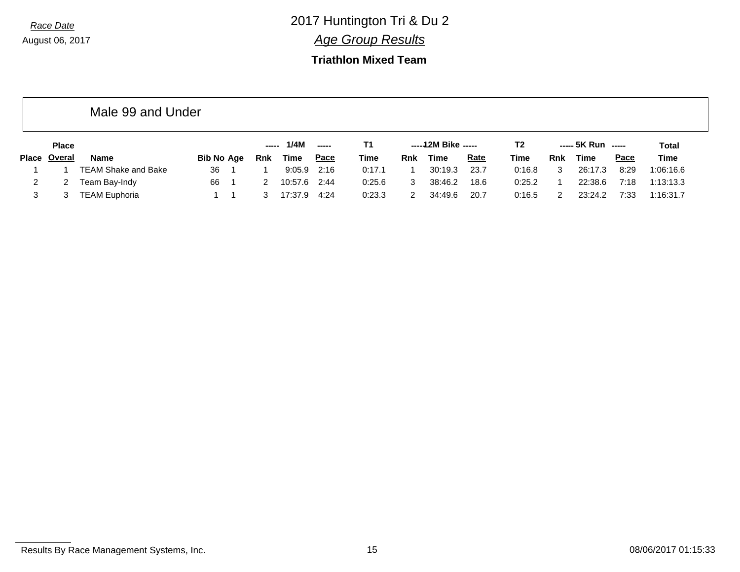#### **Triathlon Mixed Team**

|              | Male 99 and Under          |                   |               |             |               |             |            |                     |             |             |     |                    |             |              |
|--------------|----------------------------|-------------------|---------------|-------------|---------------|-------------|------------|---------------------|-------------|-------------|-----|--------------------|-------------|--------------|
| <b>Place</b> |                            |                   | $\frac{1}{2}$ | 1/4M        | $\frac{1}{2}$ | Τ1          |            | $---12M$ Bike $---$ |             | T2          |     | $--- 5K Run$ $---$ |             | <b>Total</b> |
| Place Overal | Name                       | <b>Bib No Age</b> | Rnk           | <b>Time</b> | Pace          | <b>Time</b> | <b>Rnk</b> | Time                | <b>Rate</b> | <u>Time</u> | Rnk | Time               | <u>Pace</u> | <u>Time</u>  |
|              | <b>TEAM Shake and Bake</b> | 36                |               | 9:05.9      | 2:16          | 0:17.1      |            | 30:19.3             | 23.7        | 0:16.8      | 3   | 26:17.3            | 8:29        | 1:06:16.6    |
| 2            | Team Bay-Indy              | 66                |               | 10:57.6     | 2:44          | 0:25.6      | 3          | 38:46.2             | 18.6        | 0:25.2      |     | 22:38.6            | 7:18        | 1:13:13.3    |
|              | <b>TEAM Euphoria</b>       |                   |               | 17:37.9     | 4:24          | 0:23.3      |            | 34:49.6             | 20.7        | 0:16.5      |     | 23:24.2            | 7:33        | 1:16:31.7    |

Results By Race Management Systems, Inc. 15 15 2006/2017 01:15:33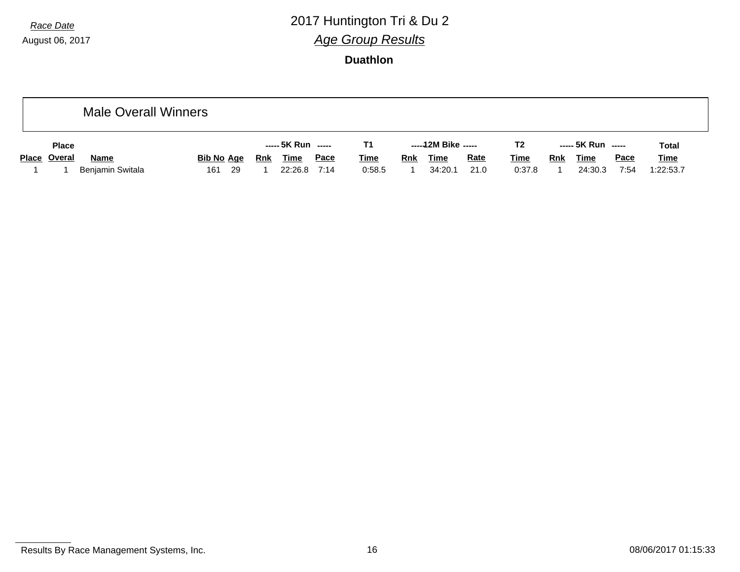# *Race Date* 2017 Huntington Tri & Du 2 *Age Group Results*

|              | <b>Male Overall Winners</b> |            |      |     |                    |             |             |     |                     |             |                |            |                    |             |              |
|--------------|-----------------------------|------------|------|-----|--------------------|-------------|-------------|-----|---------------------|-------------|----------------|------------|--------------------|-------------|--------------|
| <b>Place</b> |                             |            |      |     | ----- 5K Run ----- |             | Τ1          |     | -----12M Bike ----- |             | T <sub>2</sub> |            | ----- 5K Run ----- |             | <b>Total</b> |
| Place Overal | <b>Name</b>                 | Bib No Age |      | Rnk | <b>Time</b>        | <u>Pace</u> | <b>Time</b> | Rnk | <b>Time</b>         | <b>Rate</b> | <u>Time</u>    | <b>Rnk</b> | <u>Time</u>        | <u>Pace</u> | <b>Time</b>  |
|              | Benjamin Switala            | 161        | - 29 |     | 22:26.8            | 7:14        | 0:58.5      |     | 34:20.1             | 21.0        | 0:37.8         |            | 24:30.3            | 7:54        | 1:22:53.7    |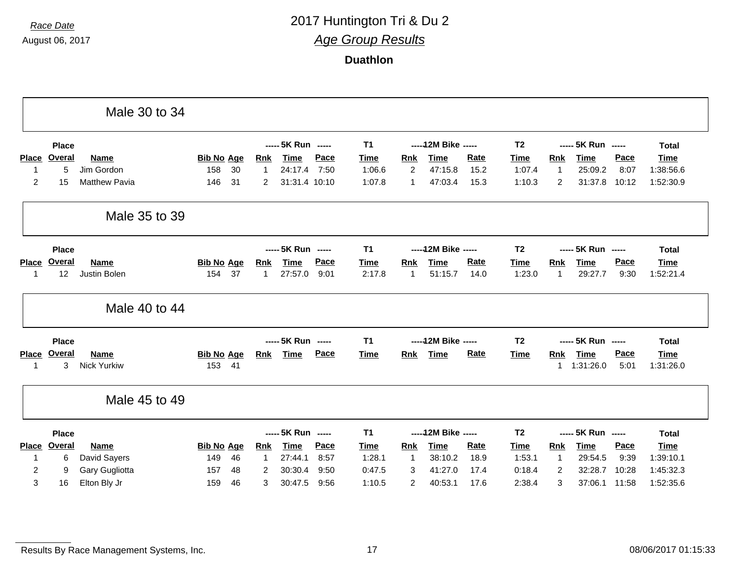|                |               | Male 30 to 34        |                   |    |                |                    |      |             |                |                      |             |                |              |                    |       |              |
|----------------|---------------|----------------------|-------------------|----|----------------|--------------------|------|-------------|----------------|----------------------|-------------|----------------|--------------|--------------------|-------|--------------|
|                | <b>Place</b>  |                      |                   |    |                | ----- 5K Run ----- |      | <b>T1</b>   |                | ----- 12M Bike ----- |             | T <sub>2</sub> |              | ----- 5K Run ----- |       | <b>Total</b> |
| <b>Place</b>   | Overal        | Name                 | <b>Bib No Age</b> |    | <b>Rnk</b>     | Time               | Pace | Time        | <b>Rnk</b>     | <b>Time</b>          | <b>Rate</b> | <b>Time</b>    | <b>Rnk</b>   | Time               | Pace  | <b>Time</b>  |
| -1             | 5             | Jim Gordon           | 158               | 30 | $\overline{1}$ | 24:17.4            | 7:50 | 1:06.6      | $\overline{2}$ | 47:15.8              | 15.2        | 1:07.4         | $\mathbf{1}$ | 25:09.2            | 8:07  | 1:38:56.6    |
| $\overline{2}$ | 15            | <b>Matthew Pavia</b> | 146               | 31 | 2              | 31:31.4 10:10      |      | 1:07.8      | 1              | 47:03.4              | 15.3        | 1:10.3         | 2            | 31:37.8            | 10:12 | 1:52:30.9    |
|                |               | Male 35 to 39        |                   |    |                |                    |      |             |                |                      |             |                |              |                    |       |              |
|                | <b>Place</b>  |                      |                   |    |                | ----- 5K Run ----- |      | <b>T1</b>   |                | ----- 12M Bike ----- |             | T <sub>2</sub> |              | ----- 5K Run ----- |       | <b>Total</b> |
| <b>Place</b>   | <b>Overal</b> | Name                 | <b>Bib No Age</b> |    | <b>Rnk</b>     | <b>Time</b>        | Pace | <b>Time</b> | <b>Rnk</b>     | <b>Time</b>          | Rate        | Time           | Rnk          | <b>Time</b>        | Pace  | <b>Time</b>  |
| -1             | 12            | Justin Bolen         | 154               | 37 | $\overline{1}$ | 27:57.0            | 9:01 | 2:17.8      | 1              | 51:15.7              | 14.0        | 1:23.0         | $\mathbf{1}$ | 29:27.7            | 9:30  | 1:52:21.4    |
|                |               | Male 40 to 44        |                   |    |                |                    |      |             |                |                      |             |                |              |                    |       |              |
|                | <b>Place</b>  |                      |                   |    |                | ----- 5K Run ----- |      | <b>T1</b>   |                | ----- 12M Bike ----- |             | T <sub>2</sub> |              | ----- 5K Run ----- |       | <b>Total</b> |
| Place          | Overal        | <b>Name</b>          | <b>Bib No Age</b> |    | <b>Rnk</b>     | <b>Time</b>        | Pace | <b>Time</b> | <u>Rnk</u>     | <b>Time</b>          | <b>Rate</b> | <b>Time</b>    | <b>Rnk</b>   | <b>Time</b>        | Pace  | <b>Time</b>  |
| -1             | 3             | <b>Nick Yurkiw</b>   | 153               | 41 |                |                    |      |             |                |                      |             |                | 1            | 1:31:26.0          | 5:01  | 1:31:26.0    |
|                |               | Male 45 to 49        |                   |    |                |                    |      |             |                |                      |             |                |              |                    |       |              |
|                | <b>Place</b>  |                      |                   |    |                | ----- 5K Run ----- |      | <b>T1</b>   |                | ----- 12M Bike ----- |             | T <sub>2</sub> |              | ----- 5K Run ----- |       | <b>Total</b> |
|                |               | <b>Name</b>          | <b>Bib No Age</b> |    | <b>Rnk</b>     | <b>Time</b>        | Pace | <b>Time</b> | <b>Rnk</b>     | <b>Time</b>          | <b>Rate</b> | <b>Time</b>    | Rnk          | <b>Time</b>        | Pace  | <b>Time</b>  |
| Place          | <b>Overal</b> |                      |                   |    |                |                    |      |             |                |                      |             |                |              |                    |       |              |
| 1              | 6             | David Sayers         | 149               | 46 | $\overline{1}$ | 27:44.1            | 8:57 | 1:28.1      | 1              | 38:10.2              | 18.9        | 1:53.1         | $\mathbf{1}$ | 29:54.5            | 9:39  | 1:39:10.1    |
| 2              | 9             | Gary Gugliotta       | 157               | 48 | 2              | 30:30.4            | 9:50 | 0:47.5      | 3              | 41:27.0              | 17.4        | 0:18.4         | 2            | 32:28.7            | 10:28 | 1:45:32.3    |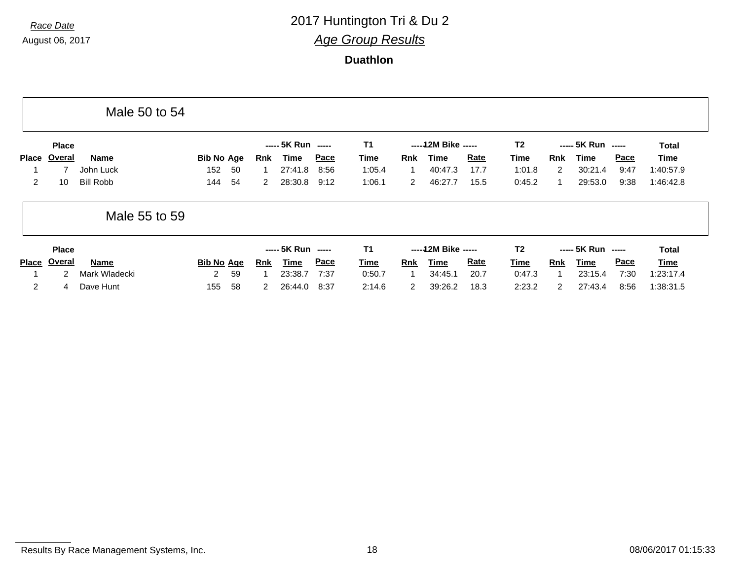|                |               | Male 50 to 54    |                   |    |              |                    |      |             |                      |                     |             |                |                |                    |             |              |
|----------------|---------------|------------------|-------------------|----|--------------|--------------------|------|-------------|----------------------|---------------------|-------------|----------------|----------------|--------------------|-------------|--------------|
|                | <b>Place</b>  |                  |                   |    |              | ----- 5K Run ----- |      | T1          |                      | $---12M$ Bike $---$ |             | T2             |                | $--- 5K Run$ $---$ |             | <b>Total</b> |
| <b>Place</b>   | Overal        | Name             | <b>Bib No Age</b> |    | Rnk          | Time               | Pace | <u>Time</u> | <b>Rnk</b>           | <b>Time</b>         | <b>Rate</b> | <u>Time</u>    | <b>Rnk</b>     | Time               | <b>Pace</b> | <b>Time</b>  |
|                |               | John Luck        | 152               | 50 |              | 27:41.8            | 8:56 | 1:05.4      |                      | 40:47.3             | 17.7        | 1:01.8         | 2              | 30:21.4            | 9:47        | 1:40:57.9    |
| $\overline{2}$ | 10            | <b>Bill Robb</b> | 144               | 54 | $\mathbf{2}$ | 28:30.8            | 9:12 | 1:06.1      | $\mathbf{2}^{\circ}$ | 46:27.7             | 15.5        | 0:45.2         |                | 29:53.0            | 9:38        | 1:46:42.8    |
|                |               | Male 55 to 59    |                   |    |              |                    |      |             |                      |                     |             |                |                |                    |             |              |
|                | <b>Place</b>  |                  |                   |    |              | ----- 5K Run ----- |      | <b>T1</b>   |                      | -----12M Bike ----- |             | T <sub>2</sub> |                | ----- 5K Run ----- |             | <b>Total</b> |
| <b>Place</b>   | <b>Overal</b> | <u>Name</u>      | <b>Bib No Age</b> |    | <b>Rnk</b>   | Time               | Pace | <b>Time</b> | <u>Rnk</u>           | <b>Time</b>         | <u>Rate</u> | <b>Time</b>    | <b>Rnk</b>     | Time               | <b>Pace</b> | <b>Time</b>  |
|                | $\mathcal{P}$ | Mark Wladecki    | $\overline{2}$    | 59 |              | 23:38.7            | 7:37 | 0:50.7      |                      | 34:45.1             | 20.7        | 0:47.3         |                | 23:15.4            | 7:30        | 1:23:17.4    |
| $\overline{2}$ | 4             | Dave Hunt        | 155               | 58 | $\mathbf{2}$ | 26:44.0            | 8:37 | 2:14.6      | 2                    | 39:26.2             | 18.3        | 2:23.2         | $\overline{2}$ | 27:43.4            | 8:56        | 1:38:31.5    |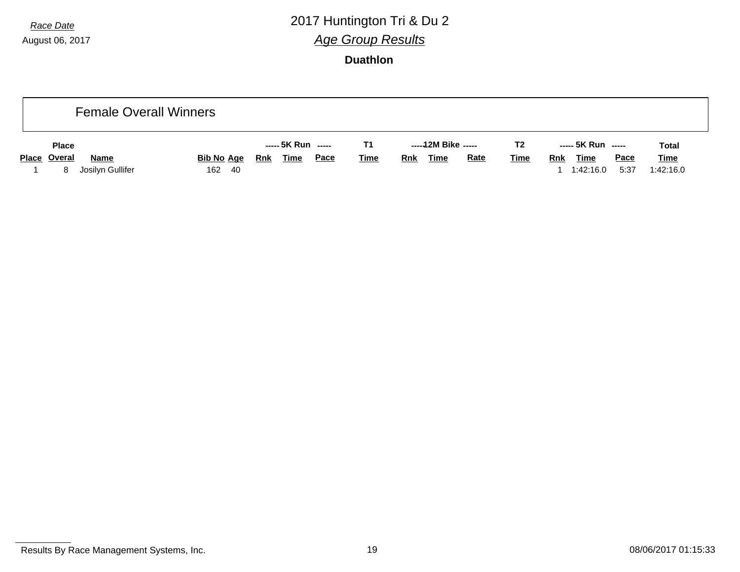# *Race Date* 2017 Huntington Tri & Du 2 *Age Group Results*

| <b>Female Overall Winners</b>                        |                             |                                          |             |                                          |                |                                                               |                          |
|------------------------------------------------------|-----------------------------|------------------------------------------|-------------|------------------------------------------|----------------|---------------------------------------------------------------|--------------------------|
| <b>Place</b>                                         |                             | ----- 5K Run -----                       | T1          | -----12M Bike -----                      | T <sub>2</sub> | ----- 5K Run -----                                            | <b>Total</b>             |
| Place Overal<br><b>Name</b><br>Josilyn Gullifer<br>8 | <b>Bib No Age</b><br>162 40 | <b>Time</b><br><u>Pace</u><br><b>Rnk</b> | <b>Time</b> | <b>Rate</b><br><b>Time</b><br><b>Rnk</b> | <b>Time</b>    | <b>Pace</b><br><b>Time</b><br><u>Rnk</u><br>5:37<br>1:42:16.0 | <u>Time</u><br>1:42:16.0 |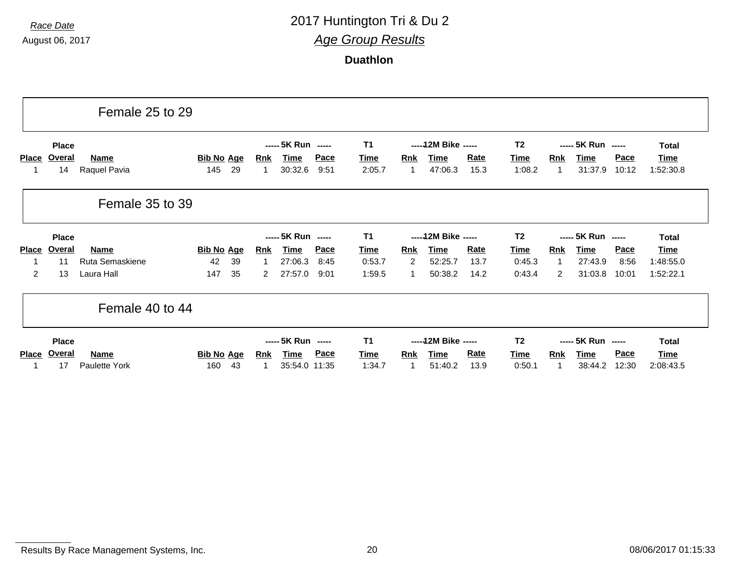|                |                              | Female 25 to 29             |                          |    |                            |                                              |                     |                                  |                  |                                         |                     |                                  |                 |                                              |                      |                                          |
|----------------|------------------------------|-----------------------------|--------------------------|----|----------------------------|----------------------------------------------|---------------------|----------------------------------|------------------|-----------------------------------------|---------------------|----------------------------------|-----------------|----------------------------------------------|----------------------|------------------------------------------|
| <b>Place</b>   | <b>Place</b><br>Overal<br>14 | <b>Name</b><br>Raquel Pavia | <b>Bib No Age</b><br>145 | 29 | <b>Rnk</b><br>$\mathbf{1}$ | ----- 5K Run -----<br><u>Time</u><br>30:32.6 | <b>Pace</b><br>9:51 | T <sub>1</sub><br>Time<br>2:05.7 | <b>Rnk</b><br>-1 | ----- 12M Bike -----<br>Time<br>47:06.3 | <b>Rate</b><br>15.3 | T <sub>2</sub><br>Time<br>1:08.2 | <b>Rnk</b><br>1 | ----- 5K Run -----<br><b>Time</b><br>31:37.9 | <b>Pace</b><br>10:12 | <b>Total</b><br><b>Time</b><br>1:52:30.8 |
|                |                              | Female 35 to 39             |                          |    |                            |                                              |                     |                                  |                  |                                         |                     |                                  |                 |                                              |                      |                                          |
|                | <b>Place</b>                 |                             |                          |    |                            | ----- 5K Run -----                           |                     | <b>T1</b>                        |                  | ----- 12M Bike -----                    |                     | T2                               |                 | ----- 5K Run -----                           |                      | <b>Total</b>                             |
| <b>Place</b>   | <b>Overal</b>                | <b>Name</b>                 | <b>Bib No Age</b>        |    | <b>Rnk</b>                 | <u>Time</u>                                  | <b>Pace</b>         | Time                             | <b>Rnk</b>       | <b>Time</b>                             | <b>Rate</b>         | Time                             | <b>Rnk</b>      | <b>Time</b>                                  | <b>Pace</b>          | Time                                     |
|                | 11                           | Ruta Semaskiene             | 42                       | 39 | -1                         | 27:06.3                                      | 8:45                | 0:53.7                           | 2                | 52:25.7                                 | 13.7                | 0:45.3                           | -1              | 27:43.9                                      | 8:56                 | 1:48:55.0                                |
| $\overline{2}$ | 13                           | Laura Hall                  | 147                      | 35 | $\overline{2}$             | 27:57.0                                      | 9:01                | 1:59.5                           | 1                | 50:38.2                                 | 14.2                | 0:43.4                           | 2               | 31:03.8                                      | 10:01                | 1:52:22.1                                |
|                |                              | Female 40 to 44             |                          |    |                            |                                              |                     |                                  |                  |                                         |                     |                                  |                 |                                              |                      |                                          |
|                | <b>Place</b>                 |                             |                          |    |                            | ----- 5K Run -----                           |                     | T1                               |                  | ----- 12M Bike -----                    |                     | T2                               |                 | ----- 5K Run -----                           |                      | <b>Total</b>                             |
| <b>Place</b>   | Overal                       | <b>Name</b>                 | <b>Bib No Age</b>        |    | <u>Rnk</u>                 | <b>Time</b>                                  | <b>Pace</b>         | <b>Time</b>                      | <u>Rnk</u>       | <b>Time</b>                             | <b>Rate</b>         | <b>Time</b>                      | <u>Rnk</u>      | <b>Time</b>                                  | <u>Pace</u>          | Time                                     |
|                | 17                           | Paulette York               | 160                      | 43 | -1                         | 35:54.0 11:35                                |                     | 1:34.7                           |                  | 51:40.2                                 | 13.9                | 0:50.1                           |                 | 38:44.2                                      | 12:30                | 2:08:43.5                                |

Results By Race Management Systems, Inc. 20 20 Contract the U.S. 20 08/06/2017 01:15:33